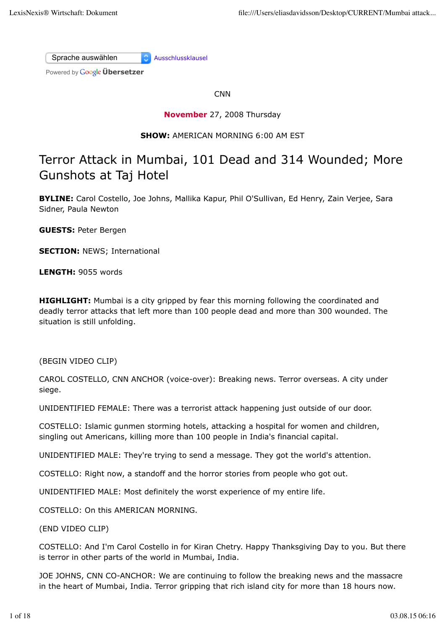Sprache auswählen Ausschlussklausel

Powered by **Google Übersetzer** 

**CNN** 

**November** 27, 2008 Thursday

# **SHOW:** AMERICAN MORNING 6:00 AM EST

# Terror Attack in Mumbai, 101 Dead and 314 Wounded; More Gunshots at Taj Hotel

**BYLINE:** Carol Costello, Joe Johns, Mallika Kapur, Phil O'Sullivan, Ed Henry, Zain Verjee, Sara Sidner, Paula Newton

**GUESTS:** Peter Bergen

**SECTION: NEWS: International** 

**LENGTH:** 9055 words

**HIGHLIGHT:** Mumbai is a city gripped by fear this morning following the coordinated and deadly terror attacks that left more than 100 people dead and more than 300 wounded. The situation is still unfolding.

(BEGIN VIDEO CLIP)

CAROL COSTELLO, CNN ANCHOR (voice-over): Breaking news. Terror overseas. A city under siege.

UNIDENTIFIED FEMALE: There was a terrorist attack happening just outside of our door.

COSTELLO: Islamic gunmen storming hotels, attacking a hospital for women and children, singling out Americans, killing more than 100 people in India's financial capital.

UNIDENTIFIED MALE: They're trying to send a message. They got the world's attention.

COSTELLO: Right now, a standoff and the horror stories from people who got out.

UNIDENTIFIED MALE: Most definitely the worst experience of my entire life.

COSTELLO: On this AMERICAN MORNING.

(END VIDEO CLIP)

COSTELLO: And I'm Carol Costello in for Kiran Chetry. Happy Thanksgiving Day to you. But there is terror in other parts of the world in Mumbai, India.

JOE JOHNS, CNN CO-ANCHOR: We are continuing to follow the breaking news and the massacre in the heart of Mumbai, India. Terror gripping that rich island city for more than 18 hours now.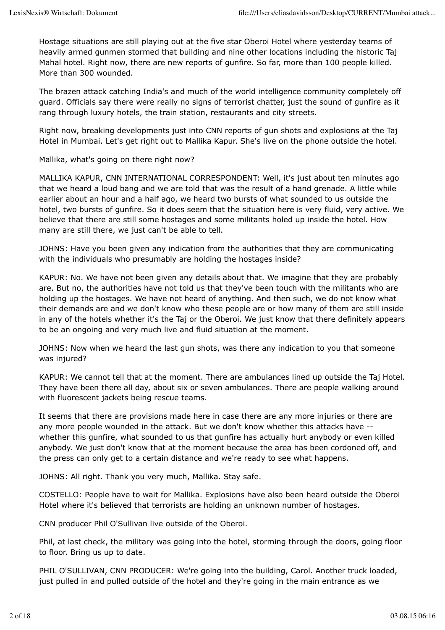Hostage situations are still playing out at the five star Oberoi Hotel where yesterday teams of heavily armed gunmen stormed that building and nine other locations including the historic Taj Mahal hotel. Right now, there are new reports of gunfire. So far, more than 100 people killed. More than 300 wounded.

The brazen attack catching India's and much of the world intelligence community completely off guard. Officials say there were really no signs of terrorist chatter, just the sound of gunfire as it rang through luxury hotels, the train station, restaurants and city streets.

Right now, breaking developments just into CNN reports of gun shots and explosions at the Taj Hotel in Mumbai. Let's get right out to Mallika Kapur. She's live on the phone outside the hotel.

Mallika, what's going on there right now?

MALLIKA KAPUR, CNN INTERNATIONAL CORRESPONDENT: Well, it's just about ten minutes ago that we heard a loud bang and we are told that was the result of a hand grenade. A little while earlier about an hour and a half ago, we heard two bursts of what sounded to us outside the hotel, two bursts of gunfire. So it does seem that the situation here is very fluid, very active. We believe that there are still some hostages and some militants holed up inside the hotel. How many are still there, we just can't be able to tell.

JOHNS: Have you been given any indication from the authorities that they are communicating with the individuals who presumably are holding the hostages inside?

KAPUR: No. We have not been given any details about that. We imagine that they are probably are. But no, the authorities have not told us that they've been touch with the militants who are holding up the hostages. We have not heard of anything. And then such, we do not know what their demands are and we don't know who these people are or how many of them are still inside in any of the hotels whether it's the Taj or the Oberoi. We just know that there definitely appears to be an ongoing and very much live and fluid situation at the moment.

JOHNS: Now when we heard the last gun shots, was there any indication to you that someone was injured?

KAPUR: We cannot tell that at the moment. There are ambulances lined up outside the Taj Hotel. They have been there all day, about six or seven ambulances. There are people walking around with fluorescent jackets being rescue teams.

It seems that there are provisions made here in case there are any more injuries or there are any more people wounded in the attack. But we don't know whether this attacks have - whether this gunfire, what sounded to us that gunfire has actually hurt anybody or even killed anybody. We just don't know that at the moment because the area has been cordoned off, and the press can only get to a certain distance and we're ready to see what happens.

JOHNS: All right. Thank you very much, Mallika. Stay safe.

COSTELLO: People have to wait for Mallika. Explosions have also been heard outside the Oberoi Hotel where it's believed that terrorists are holding an unknown number of hostages.

CNN producer Phil O'Sullivan live outside of the Oberoi.

Phil, at last check, the military was going into the hotel, storming through the doors, going floor to floor. Bring us up to date.

PHIL O'SULLIVAN, CNN PRODUCER: We're going into the building, Carol. Another truck loaded, just pulled in and pulled outside of the hotel and they're going in the main entrance as we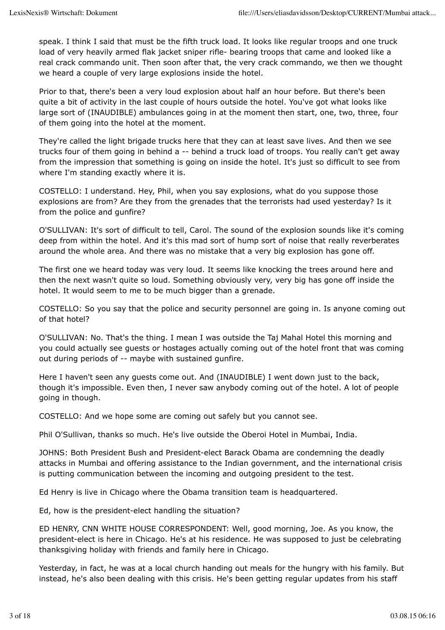speak. I think I said that must be the fifth truck load. It looks like regular troops and one truck load of very heavily armed flak jacket sniper rifle- bearing troops that came and looked like a real crack commando unit. Then soon after that, the very crack commando, we then we thought we heard a couple of very large explosions inside the hotel.

Prior to that, there's been a very loud explosion about half an hour before. But there's been quite a bit of activity in the last couple of hours outside the hotel. You've got what looks like large sort of (INAUDIBLE) ambulances going in at the moment then start, one, two, three, four of them going into the hotel at the moment.

They're called the light brigade trucks here that they can at least save lives. And then we see trucks four of them going in behind a -- behind a truck load of troops. You really can't get away from the impression that something is going on inside the hotel. It's just so difficult to see from where I'm standing exactly where it is.

COSTELLO: I understand. Hey, Phil, when you say explosions, what do you suppose those explosions are from? Are they from the grenades that the terrorists had used yesterday? Is it from the police and gunfire?

O'SULLIVAN: It's sort of difficult to tell, Carol. The sound of the explosion sounds like it's coming deep from within the hotel. And it's this mad sort of hump sort of noise that really reverberates around the whole area. And there was no mistake that a very big explosion has gone off.

The first one we heard today was very loud. It seems like knocking the trees around here and then the next wasn't quite so loud. Something obviously very, very big has gone off inside the hotel. It would seem to me to be much bigger than a grenade.

COSTELLO: So you say that the police and security personnel are going in. Is anyone coming out of that hotel?

O'SULLIVAN: No. That's the thing. I mean I was outside the Taj Mahal Hotel this morning and you could actually see guests or hostages actually coming out of the hotel front that was coming out during periods of -- maybe with sustained gunfire.

Here I haven't seen any guests come out. And (INAUDIBLE) I went down just to the back, though it's impossible. Even then, I never saw anybody coming out of the hotel. A lot of people going in though.

COSTELLO: And we hope some are coming out safely but you cannot see.

Phil O'Sullivan, thanks so much. He's live outside the Oberoi Hotel in Mumbai, India.

JOHNS: Both President Bush and President-elect Barack Obama are condemning the deadly attacks in Mumbai and offering assistance to the Indian government, and the international crisis is putting communication between the incoming and outgoing president to the test.

Ed Henry is live in Chicago where the Obama transition team is headquartered.

Ed, how is the president-elect handling the situation?

ED HENRY, CNN WHITE HOUSE CORRESPONDENT: Well, good morning, Joe. As you know, the president-elect is here in Chicago. He's at his residence. He was supposed to just be celebrating thanksgiving holiday with friends and family here in Chicago.

Yesterday, in fact, he was at a local church handing out meals for the hungry with his family. But instead, he's also been dealing with this crisis. He's been getting regular updates from his staff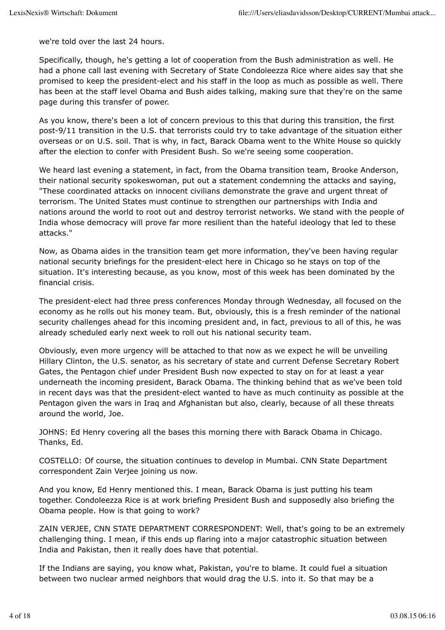we're told over the last 24 hours.

Specifically, though, he's getting a lot of cooperation from the Bush administration as well. He had a phone call last evening with Secretary of State Condoleezza Rice where aides say that she promised to keep the president-elect and his staff in the loop as much as possible as well. There has been at the staff level Obama and Bush aides talking, making sure that they're on the same page during this transfer of power.

As you know, there's been a lot of concern previous to this that during this transition, the first post-9/11 transition in the U.S. that terrorists could try to take advantage of the situation either overseas or on U.S. soil. That is why, in fact, Barack Obama went to the White House so quickly after the election to confer with President Bush. So we're seeing some cooperation.

We heard last evening a statement, in fact, from the Obama transition team, Brooke Anderson, their national security spokeswoman, put out a statement condemning the attacks and saying, "These coordinated attacks on innocent civilians demonstrate the grave and urgent threat of terrorism. The United States must continue to strengthen our partnerships with India and nations around the world to root out and destroy terrorist networks. We stand with the people of India whose democracy will prove far more resilient than the hateful ideology that led to these attacks."

Now, as Obama aides in the transition team get more information, they've been having regular national security briefings for the president-elect here in Chicago so he stays on top of the situation. It's interesting because, as you know, most of this week has been dominated by the financial crisis.

The president-elect had three press conferences Monday through Wednesday, all focused on the economy as he rolls out his money team. But, obviously, this is a fresh reminder of the national security challenges ahead for this incoming president and, in fact, previous to all of this, he was already scheduled early next week to roll out his national security team.

Obviously, even more urgency will be attached to that now as we expect he will be unveiling Hillary Clinton, the U.S. senator, as his secretary of state and current Defense Secretary Robert Gates, the Pentagon chief under President Bush now expected to stay on for at least a year underneath the incoming president, Barack Obama. The thinking behind that as we've been told in recent days was that the president-elect wanted to have as much continuity as possible at the Pentagon given the wars in Iraq and Afghanistan but also, clearly, because of all these threats around the world, Joe.

JOHNS: Ed Henry covering all the bases this morning there with Barack Obama in Chicago. Thanks, Ed.

COSTELLO: Of course, the situation continues to develop in Mumbai. CNN State Department correspondent Zain Verjee joining us now.

And you know, Ed Henry mentioned this. I mean, Barack Obama is just putting his team together. Condoleezza Rice is at work briefing President Bush and supposedly also briefing the Obama people. How is that going to work?

ZAIN VERJEE, CNN STATE DEPARTMENT CORRESPONDENT: Well, that's going to be an extremely challenging thing. I mean, if this ends up flaring into a major catastrophic situation between India and Pakistan, then it really does have that potential.

If the Indians are saying, you know what, Pakistan, you're to blame. It could fuel a situation between two nuclear armed neighbors that would drag the U.S. into it. So that may be a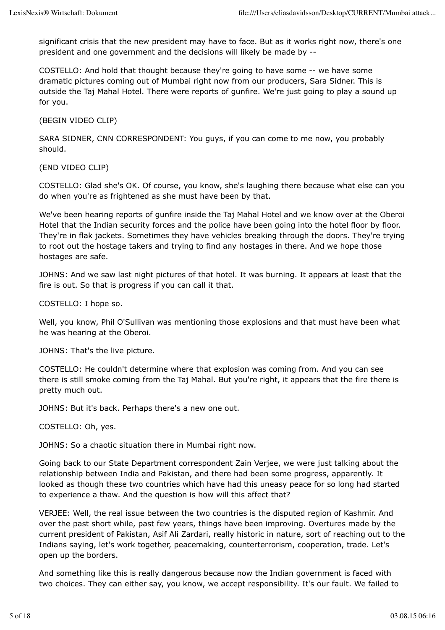significant crisis that the new president may have to face. But as it works right now, there's one president and one government and the decisions will likely be made by --

COSTELLO: And hold that thought because they're going to have some -- we have some dramatic pictures coming out of Mumbai right now from our producers, Sara Sidner. This is outside the Taj Mahal Hotel. There were reports of gunfire. We're just going to play a sound up for you.

(BEGIN VIDEO CLIP)

SARA SIDNER, CNN CORRESPONDENT: You guys, if you can come to me now, you probably should.

(END VIDEO CLIP)

COSTELLO: Glad she's OK. Of course, you know, she's laughing there because what else can you do when you're as frightened as she must have been by that.

We've been hearing reports of gunfire inside the Taj Mahal Hotel and we know over at the Oberoi Hotel that the Indian security forces and the police have been going into the hotel floor by floor. They're in flak jackets. Sometimes they have vehicles breaking through the doors. They're trying to root out the hostage takers and trying to find any hostages in there. And we hope those hostages are safe.

JOHNS: And we saw last night pictures of that hotel. It was burning. It appears at least that the fire is out. So that is progress if you can call it that.

COSTELLO: I hope so.

Well, you know, Phil O'Sullivan was mentioning those explosions and that must have been what he was hearing at the Oberoi.

JOHNS: That's the live picture.

COSTELLO: He couldn't determine where that explosion was coming from. And you can see there is still smoke coming from the Taj Mahal. But you're right, it appears that the fire there is pretty much out.

JOHNS: But it's back. Perhaps there's a new one out.

COSTELLO: Oh, yes.

JOHNS: So a chaotic situation there in Mumbai right now.

Going back to our State Department correspondent Zain Verjee, we were just talking about the relationship between India and Pakistan, and there had been some progress, apparently. It looked as though these two countries which have had this uneasy peace for so long had started to experience a thaw. And the question is how will this affect that?

VERJEE: Well, the real issue between the two countries is the disputed region of Kashmir. And over the past short while, past few years, things have been improving. Overtures made by the current president of Pakistan, Asif Ali Zardari, really historic in nature, sort of reaching out to the Indians saying, let's work together, peacemaking, counterterrorism, cooperation, trade. Let's open up the borders.

And something like this is really dangerous because now the Indian government is faced with two choices. They can either say, you know, we accept responsibility. It's our fault. We failed to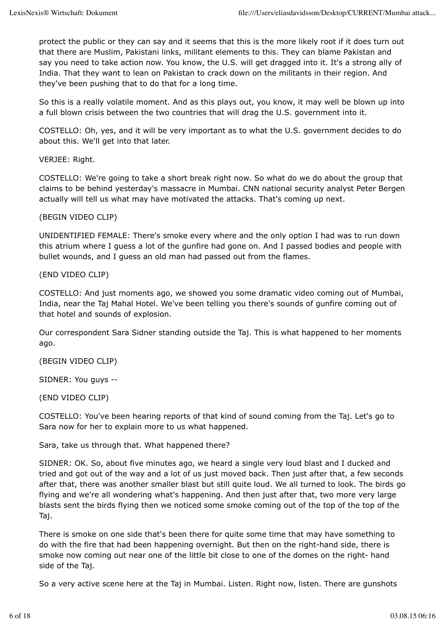protect the public or they can say and it seems that this is the more likely root if it does turn out that there are Muslim, Pakistani links, militant elements to this. They can blame Pakistan and say you need to take action now. You know, the U.S. will get dragged into it. It's a strong ally of India. That they want to lean on Pakistan to crack down on the militants in their region. And they've been pushing that to do that for a long time.

So this is a really volatile moment. And as this plays out, you know, it may well be blown up into a full blown crisis between the two countries that will drag the U.S. government into it.

COSTELLO: Oh, yes, and it will be very important as to what the U.S. government decides to do about this. We'll get into that later.

VERJEE: Right.

COSTELLO: We're going to take a short break right now. So what do we do about the group that claims to be behind yesterday's massacre in Mumbai. CNN national security analyst Peter Bergen actually will tell us what may have motivated the attacks. That's coming up next.

(BEGIN VIDEO CLIP)

UNIDENTIFIED FEMALE: There's smoke every where and the only option I had was to run down this atrium where I guess a lot of the gunfire had gone on. And I passed bodies and people with bullet wounds, and I guess an old man had passed out from the flames.

(END VIDEO CLIP)

COSTELLO: And just moments ago, we showed you some dramatic video coming out of Mumbai, India, near the Taj Mahal Hotel. We've been telling you there's sounds of gunfire coming out of that hotel and sounds of explosion.

Our correspondent Sara Sidner standing outside the Taj. This is what happened to her moments ago.

(BEGIN VIDEO CLIP)

SIDNER: You guys --

(END VIDEO CLIP)

COSTELLO: You've been hearing reports of that kind of sound coming from the Taj. Let's go to Sara now for her to explain more to us what happened.

Sara, take us through that. What happened there?

SIDNER: OK. So, about five minutes ago, we heard a single very loud blast and I ducked and tried and got out of the way and a lot of us just moved back. Then just after that, a few seconds after that, there was another smaller blast but still quite loud. We all turned to look. The birds go flying and we're all wondering what's happening. And then just after that, two more very large blasts sent the birds flying then we noticed some smoke coming out of the top of the top of the Taj.

There is smoke on one side that's been there for quite some time that may have something to do with the fire that had been happening overnight. But then on the right-hand side, there is smoke now coming out near one of the little bit close to one of the domes on the right- hand side of the Taj.

So a very active scene here at the Taj in Mumbai. Listen. Right now, listen. There are gunshots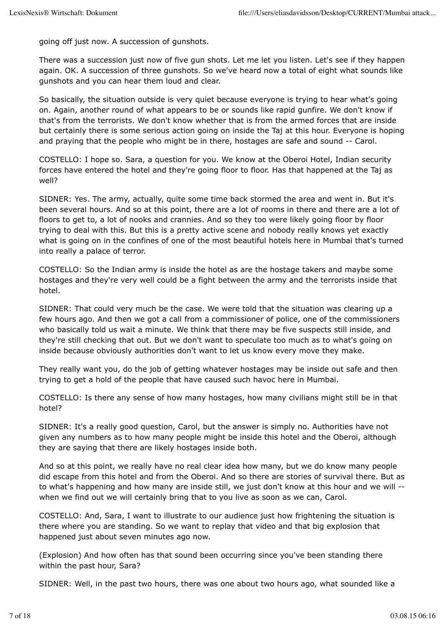going off just now. A succession of gunshots.

There was a succession just now of five gun shots. Let me let you listen. Let's see if they happen again. OK. A succession of three gunshots. So we've heard now a total of eight what sounds like gunshots and you can hear them loud and clear.

So basically, the situation outside is very quiet because everyone is trying to hear what's going on. Again, another round of what appears to be or sounds like rapid gunfire. We don't know if that's from the terrorists. We don't know whether that is from the armed forces that are inside but certainly there is some serious action going on inside the Taj at this hour. Everyone is hoping and praying that the people who might be in there, hostages are safe and sound -- Carol.

COSTELLO: I hope so. Sara, a question for you. We know at the Oberoi Hotel, Indian security forces have entered the hotel and they're going floor to floor. Has that happened at the Taj as well?

SIDNER: Yes. The army, actually, quite some time back stormed the area and went in. But it's been several hours. And so at this point, there are a lot of rooms in there and there are a lot of floors to get to, a lot of nooks and crannies. And so they too were likely going floor by floor trying to deal with this. But this is a pretty active scene and nobody really knows yet exactly what is going on in the confines of one of the most beautiful hotels here in Mumbai that's turned into really a palace of terror.

COSTELLO: So the Indian army is inside the hotel as are the hostage takers and maybe some hostages and they're very well could be a fight between the army and the terrorists inside that hotel.

SIDNER: That could very much be the case. We were told that the situation was clearing up a few hours ago. And then we got a call from a commissioner of police, one of the commissioners who basically told us wait a minute. We think that there may be five suspects still inside, and they're still checking that out. But we don't want to speculate too much as to what's going on inside because obviously authorities don't want to let us know every move they make.

They really want you, do the job of getting whatever hostages may be inside out safe and then trying to get a hold of the people that have caused such havoc here in Mumbai.

COSTELLO: Is there any sense of how many hostages, how many civilians might still be in that hotel?

SIDNER: It's a really good question, Carol, but the answer is simply no. Authorities have not given any numbers as to how many people might be inside this hotel and the Oberoi, although they are saying that there are likely hostages inside both.

And so at this point, we really have no real clear idea how many, but we do know many people did escape from this hotel and from the Oberoi. And so there are stories of survival there. But as to what's happening and how many are inside still, we just don't know at this hour and we will - when we find out we will certainly bring that to you live as soon as we can, Carol.

COSTELLO: And, Sara, I want to illustrate to our audience just how frightening the situation is there where you are standing. So we want to replay that video and that big explosion that happened just about seven minutes ago now.

(Explosion) And how often has that sound been occurring since you've been standing there within the past hour, Sara?

SIDNER: Well, in the past two hours, there was one about two hours ago, what sounded like a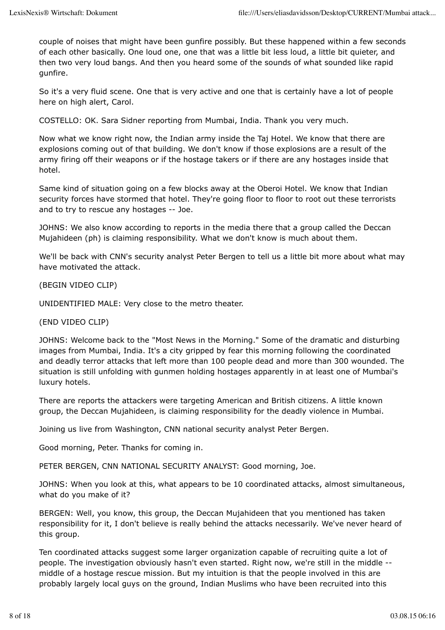couple of noises that might have been gunfire possibly. But these happened within a few seconds of each other basically. One loud one, one that was a little bit less loud, a little bit quieter, and then two very loud bangs. And then you heard some of the sounds of what sounded like rapid gunfire.

So it's a very fluid scene. One that is very active and one that is certainly have a lot of people here on high alert, Carol.

COSTELLO: OK. Sara Sidner reporting from Mumbai, India. Thank you very much.

Now what we know right now, the Indian army inside the Taj Hotel. We know that there are explosions coming out of that building. We don't know if those explosions are a result of the army firing off their weapons or if the hostage takers or if there are any hostages inside that hotel.

Same kind of situation going on a few blocks away at the Oberoi Hotel. We know that Indian security forces have stormed that hotel. They're going floor to floor to root out these terrorists and to try to rescue any hostages -- Joe.

JOHNS: We also know according to reports in the media there that a group called the Deccan Mujahideen (ph) is claiming responsibility. What we don't know is much about them.

We'll be back with CNN's security analyst Peter Bergen to tell us a little bit more about what may have motivated the attack.

(BEGIN VIDEO CLIP)

UNIDENTIFIED MALE: Very close to the metro theater.

(END VIDEO CLIP)

JOHNS: Welcome back to the "Most News in the Morning." Some of the dramatic and disturbing images from Mumbai, India. It's a city gripped by fear this morning following the coordinated and deadly terror attacks that left more than 100 people dead and more than 300 wounded. The situation is still unfolding with gunmen holding hostages apparently in at least one of Mumbai's luxury hotels.

There are reports the attackers were targeting American and British citizens. A little known group, the Deccan Mujahideen, is claiming responsibility for the deadly violence in Mumbai.

Joining us live from Washington, CNN national security analyst Peter Bergen.

Good morning, Peter. Thanks for coming in.

PETER BERGEN, CNN NATIONAL SECURITY ANALYST: Good morning, Joe.

JOHNS: When you look at this, what appears to be 10 coordinated attacks, almost simultaneous, what do you make of it?

BERGEN: Well, you know, this group, the Deccan Mujahideen that you mentioned has taken responsibility for it, I don't believe is really behind the attacks necessarily. We've never heard of this group.

Ten coordinated attacks suggest some larger organization capable of recruiting quite a lot of people. The investigation obviously hasn't even started. Right now, we're still in the middle - middle of a hostage rescue mission. But my intuition is that the people involved in this are probably largely local guys on the ground, Indian Muslims who have been recruited into this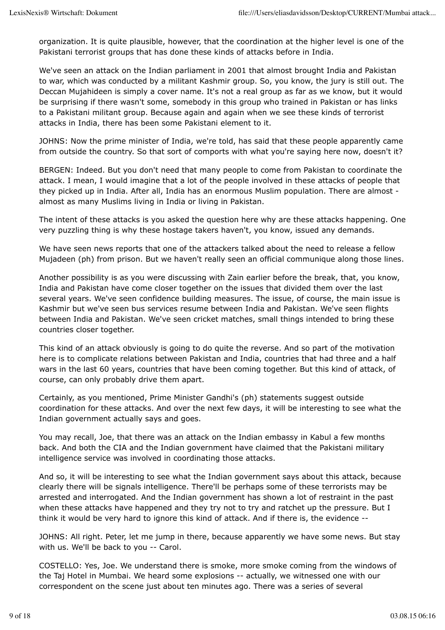organization. It is quite plausible, however, that the coordination at the higher level is one of the Pakistani terrorist groups that has done these kinds of attacks before in India.

We've seen an attack on the Indian parliament in 2001 that almost brought India and Pakistan to war, which was conducted by a militant Kashmir group. So, you know, the jury is still out. The Deccan Mujahideen is simply a cover name. It's not a real group as far as we know, but it would be surprising if there wasn't some, somebody in this group who trained in Pakistan or has links to a Pakistani militant group. Because again and again when we see these kinds of terrorist attacks in India, there has been some Pakistani element to it.

JOHNS: Now the prime minister of India, we're told, has said that these people apparently came from outside the country. So that sort of comports with what you're saying here now, doesn't it?

BERGEN: Indeed. But you don't need that many people to come from Pakistan to coordinate the attack. I mean, I would imagine that a lot of the people involved in these attacks of people that they picked up in India. After all, India has an enormous Muslim population. There are almost almost as many Muslims living in India or living in Pakistan.

The intent of these attacks is you asked the question here why are these attacks happening. One very puzzling thing is why these hostage takers haven't, you know, issued any demands.

We have seen news reports that one of the attackers talked about the need to release a fellow Mujadeen (ph) from prison. But we haven't really seen an official communique along those lines.

Another possibility is as you were discussing with Zain earlier before the break, that, you know, India and Pakistan have come closer together on the issues that divided them over the last several years. We've seen confidence building measures. The issue, of course, the main issue is Kashmir but we've seen bus services resume between India and Pakistan. We've seen flights between India and Pakistan. We've seen cricket matches, small things intended to bring these countries closer together.

This kind of an attack obviously is going to do quite the reverse. And so part of the motivation here is to complicate relations between Pakistan and India, countries that had three and a half wars in the last 60 years, countries that have been coming together. But this kind of attack, of course, can only probably drive them apart.

Certainly, as you mentioned, Prime Minister Gandhi's (ph) statements suggest outside coordination for these attacks. And over the next few days, it will be interesting to see what the Indian government actually says and goes.

You may recall, Joe, that there was an attack on the Indian embassy in Kabul a few months back. And both the CIA and the Indian government have claimed that the Pakistani military intelligence service was involved in coordinating those attacks.

And so, it will be interesting to see what the Indian government says about this attack, because clearly there will be signals intelligence. There'll be perhaps some of these terrorists may be arrested and interrogated. And the Indian government has shown a lot of restraint in the past when these attacks have happened and they try not to try and ratchet up the pressure. But I think it would be very hard to ignore this kind of attack. And if there is, the evidence --

JOHNS: All right. Peter, let me jump in there, because apparently we have some news. But stay with us. We'll be back to you -- Carol.

COSTELLO: Yes, Joe. We understand there is smoke, more smoke coming from the windows of the Taj Hotel in Mumbai. We heard some explosions -- actually, we witnessed one with our correspondent on the scene just about ten minutes ago. There was a series of several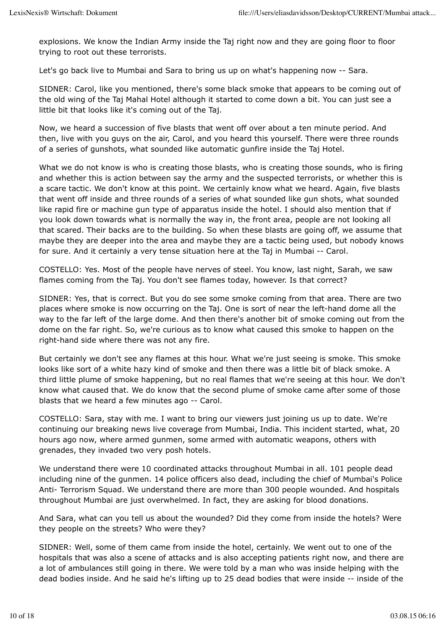explosions. We know the Indian Army inside the Taj right now and they are going floor to floor trying to root out these terrorists.

Let's go back live to Mumbai and Sara to bring us up on what's happening now -- Sara.

SIDNER: Carol, like you mentioned, there's some black smoke that appears to be coming out of the old wing of the Taj Mahal Hotel although it started to come down a bit. You can just see a little bit that looks like it's coming out of the Taj.

Now, we heard a succession of five blasts that went off over about a ten minute period. And then, live with you guys on the air, Carol, and you heard this yourself. There were three rounds of a series of gunshots, what sounded like automatic gunfire inside the Taj Hotel.

What we do not know is who is creating those blasts, who is creating those sounds, who is firing and whether this is action between say the army and the suspected terrorists, or whether this is a scare tactic. We don't know at this point. We certainly know what we heard. Again, five blasts that went off inside and three rounds of a series of what sounded like gun shots, what sounded like rapid fire or machine gun type of apparatus inside the hotel. I should also mention that if you look down towards what is normally the way in, the front area, people are not looking all that scared. Their backs are to the building. So when these blasts are going off, we assume that maybe they are deeper into the area and maybe they are a tactic being used, but nobody knows for sure. And it certainly a very tense situation here at the Taj in Mumbai -- Carol.

COSTELLO: Yes. Most of the people have nerves of steel. You know, last night, Sarah, we saw flames coming from the Taj. You don't see flames today, however. Is that correct?

SIDNER: Yes, that is correct. But you do see some smoke coming from that area. There are two places where smoke is now occurring on the Taj. One is sort of near the left-hand dome all the way to the far left of the large dome. And then there's another bit of smoke coming out from the dome on the far right. So, we're curious as to know what caused this smoke to happen on the right-hand side where there was not any fire.

But certainly we don't see any flames at this hour. What we're just seeing is smoke. This smoke looks like sort of a white hazy kind of smoke and then there was a little bit of black smoke. A third little plume of smoke happening, but no real flames that we're seeing at this hour. We don't know what caused that. We do know that the second plume of smoke came after some of those blasts that we heard a few minutes ago -- Carol.

COSTELLO: Sara, stay with me. I want to bring our viewers just joining us up to date. We're continuing our breaking news live coverage from Mumbai, India. This incident started, what, 20 hours ago now, where armed gunmen, some armed with automatic weapons, others with grenades, they invaded two very posh hotels.

We understand there were 10 coordinated attacks throughout Mumbai in all. 101 people dead including nine of the gunmen. 14 police officers also dead, including the chief of Mumbai's Police Anti- Terrorism Squad. We understand there are more than 300 people wounded. And hospitals throughout Mumbai are just overwhelmed. In fact, they are asking for blood donations.

And Sara, what can you tell us about the wounded? Did they come from inside the hotels? Were they people on the streets? Who were they?

SIDNER: Well, some of them came from inside the hotel, certainly. We went out to one of the hospitals that was also a scene of attacks and is also accepting patients right now, and there are a lot of ambulances still going in there. We were told by a man who was inside helping with the dead bodies inside. And he said he's lifting up to 25 dead bodies that were inside -- inside of the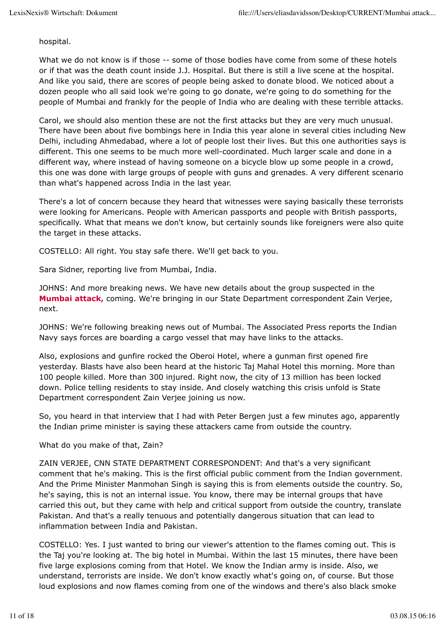hospital.

What we do not know is if those -- some of those bodies have come from some of these hotels or if that was the death count inside J.J. Hospital. But there is still a live scene at the hospital. And like you said, there are scores of people being asked to donate blood. We noticed about a dozen people who all said look we're going to go donate, we're going to do something for the people of Mumbai and frankly for the people of India who are dealing with these terrible attacks.

Carol, we should also mention these are not the first attacks but they are very much unusual. There have been about five bombings here in India this year alone in several cities including New Delhi, including Ahmedabad, where a lot of people lost their lives. But this one authorities says is different. This one seems to be much more well-coordinated. Much larger scale and done in a different way, where instead of having someone on a bicycle blow up some people in a crowd, this one was done with large groups of people with guns and grenades. A very different scenario than what's happened across India in the last year.

There's a lot of concern because they heard that witnesses were saying basically these terrorists were looking for Americans. People with American passports and people with British passports, specifically. What that means we don't know, but certainly sounds like foreigners were also quite the target in these attacks.

COSTELLO: All right. You stay safe there. We'll get back to you.

Sara Sidner, reporting live from Mumbai, India.

JOHNS: And more breaking news. We have new details about the group suspected in the **Mumbai attack,** coming. We're bringing in our State Department correspondent Zain Verjee, next.

JOHNS: We're following breaking news out of Mumbai. The Associated Press reports the Indian Navy says forces are boarding a cargo vessel that may have links to the attacks.

Also, explosions and gunfire rocked the Oberoi Hotel, where a gunman first opened fire yesterday. Blasts have also been heard at the historic Taj Mahal Hotel this morning. More than 100 people killed. More than 300 injured. Right now, the city of 13 million has been locked down. Police telling residents to stay inside. And closely watching this crisis unfold is State Department correspondent Zain Verjee joining us now.

So, you heard in that interview that I had with Peter Bergen just a few minutes ago, apparently the Indian prime minister is saying these attackers came from outside the country.

What do you make of that, Zain?

ZAIN VERJEE, CNN STATE DEPARTMENT CORRESPONDENT: And that's a very significant comment that he's making. This is the first official public comment from the Indian government. And the Prime Minister Manmohan Singh is saying this is from elements outside the country. So, he's saying, this is not an internal issue. You know, there may be internal groups that have carried this out, but they came with help and critical support from outside the country, translate Pakistan. And that's a really tenuous and potentially dangerous situation that can lead to inflammation between India and Pakistan.

COSTELLO: Yes. I just wanted to bring our viewer's attention to the flames coming out. This is the Taj you're looking at. The big hotel in Mumbai. Within the last 15 minutes, there have been five large explosions coming from that Hotel. We know the Indian army is inside. Also, we understand, terrorists are inside. We don't know exactly what's going on, of course. But those loud explosions and now flames coming from one of the windows and there's also black smoke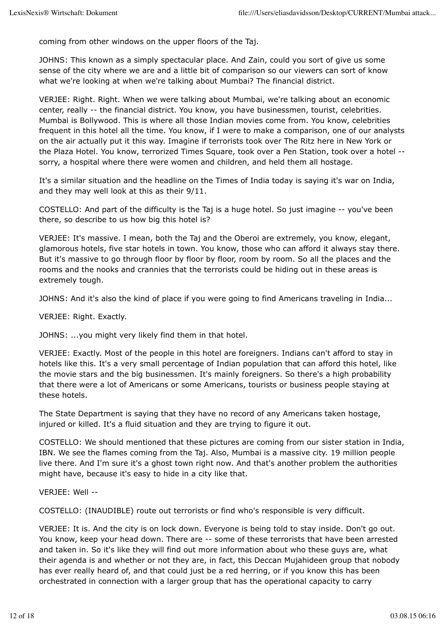coming from other windows on the upper floors of the Taj.

JOHNS: This known as a simply spectacular place. And Zain, could you sort of give us some sense of the city where we are and a little bit of comparison so our viewers can sort of know what we're looking at when we're talking about Mumbai? The financial district.

VERJEE: Right. Right. When we were talking about Mumbai, we're talking about an economic center, really -- the financial district. You know, you have businessmen, tourist, celebrities. Mumbai is Bollywood. This is where all those Indian movies come from. You know, celebrities frequent in this hotel all the time. You know, if I were to make a comparison, one of our analysts on the air actually put it this way. Imagine if terrorists took over The Ritz here in New York or the Plaza Hotel. You know, terrorized Times Square, took over a Pen Station, took over a hotel - sorry, a hospital where there were women and children, and held them all hostage.

It's a similar situation and the headline on the Times of India today is saying it's war on India, and they may well look at this as their 9/11.

COSTELLO: And part of the difficulty is the Taj is a huge hotel. So just imagine -- you've been there, so describe to us how big this hotel is?

VERJEE: It's massive. I mean, both the Taj and the Oberoi are extremely, you know, elegant, glamorous hotels, five star hotels in town. You know, those who can afford it always stay there. But it's massive to go through floor by floor by floor, room by room. So all the places and the rooms and the nooks and crannies that the terrorists could be hiding out in these areas is extremely tough.

JOHNS: And it's also the kind of place if you were going to find Americans traveling in India...

VERJEE: Right. Exactly.

JOHNS: ...you might very likely find them in that hotel.

VERJEE: Exactly. Most of the people in this hotel are foreigners. Indians can't afford to stay in hotels like this. It's a very small percentage of Indian population that can afford this hotel, like the movie stars and the big businessmen. It's mainly foreigners. So there's a high probability that there were a lot of Americans or some Americans, tourists or business people staying at these hotels.

The State Department is saying that they have no record of any Americans taken hostage, injured or killed. It's a fluid situation and they are trying to figure it out.

COSTELLO: We should mentioned that these pictures are coming from our sister station in India, IBN. We see the flames coming from the Taj. Also, Mumbai is a massive city. 19 million people live there. And I'm sure it's a ghost town right now. And that's another problem the authorities might have, because it's easy to hide in a city like that.

VERJEE: Well --

COSTELLO: (INAUDIBLE) route out terrorists or find who's responsible is very difficult.

VERJEE: It is. And the city is on lock down. Everyone is being told to stay inside. Don't go out. You know, keep your head down. There are -- some of these terrorists that have been arrested and taken in. So it's like they will find out more information about who these guys are, what their agenda is and whether or not they are, in fact, this Deccan Mujahideen group that nobody has ever really heard of, and that could just be a red herring, or if you know this has been orchestrated in connection with a larger group that has the operational capacity to carry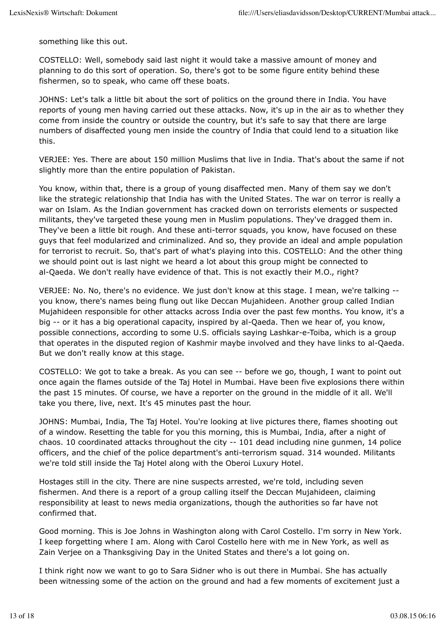something like this out.

COSTELLO: Well, somebody said last night it would take a massive amount of money and planning to do this sort of operation. So, there's got to be some figure entity behind these fishermen, so to speak, who came off these boats.

JOHNS: Let's talk a little bit about the sort of politics on the ground there in India. You have reports of young men having carried out these attacks. Now, it's up in the air as to whether they come from inside the country or outside the country, but it's safe to say that there are large numbers of disaffected young men inside the country of India that could lend to a situation like this.

VERJEE: Yes. There are about 150 million Muslims that live in India. That's about the same if not slightly more than the entire population of Pakistan.

You know, within that, there is a group of young disaffected men. Many of them say we don't like the strategic relationship that India has with the United States. The war on terror is really a war on Islam. As the Indian government has cracked down on terrorists elements or suspected militants, they've targeted these young men in Muslim populations. They've dragged them in. They've been a little bit rough. And these anti-terror squads, you know, have focused on these guys that feel modularized and criminalized. And so, they provide an ideal and ample population for terrorist to recruit. So, that's part of what's playing into this. COSTELLO: And the other thing we should point out is last night we heard a lot about this group might be connected to al-Qaeda. We don't really have evidence of that. This is not exactly their M.O., right?

VERJEE: No. No, there's no evidence. We just don't know at this stage. I mean, we're talking - you know, there's names being flung out like Deccan Mujahideen. Another group called Indian Mujahideen responsible for other attacks across India over the past few months. You know, it's a big -- or it has a big operational capacity, inspired by al-Qaeda. Then we hear of, you know, possible connections, according to some U.S. officials saying Lashkar-e-Toiba, which is a group that operates in the disputed region of Kashmir maybe involved and they have links to al-Qaeda. But we don't really know at this stage.

COSTELLO: We got to take a break. As you can see -- before we go, though, I want to point out once again the flames outside of the Taj Hotel in Mumbai. Have been five explosions there within the past 15 minutes. Of course, we have a reporter on the ground in the middle of it all. We'll take you there, live, next. It's 45 minutes past the hour.

JOHNS: Mumbai, India, The Taj Hotel. You're looking at live pictures there, flames shooting out of a window. Resetting the table for you this morning, this is Mumbai, India, after a night of chaos. 10 coordinated attacks throughout the city -- 101 dead including nine gunmen, 14 police officers, and the chief of the police department's anti-terrorism squad. 314 wounded. Militants we're told still inside the Taj Hotel along with the Oberoi Luxury Hotel.

Hostages still in the city. There are nine suspects arrested, we're told, including seven fishermen. And there is a report of a group calling itself the Deccan Mujahideen, claiming responsibility at least to news media organizations, though the authorities so far have not confirmed that.

Good morning. This is Joe Johns in Washington along with Carol Costello. I'm sorry in New York. I keep forgetting where I am. Along with Carol Costello here with me in New York, as well as Zain Verjee on a Thanksgiving Day in the United States and there's a lot going on.

I think right now we want to go to Sara Sidner who is out there in Mumbai. She has actually been witnessing some of the action on the ground and had a few moments of excitement just a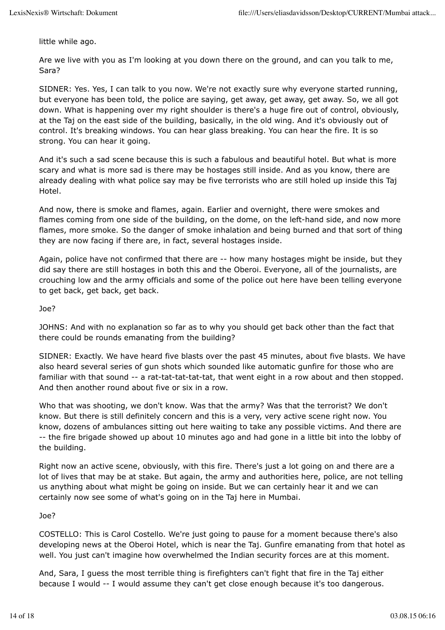little while ago.

Are we live with you as I'm looking at you down there on the ground, and can you talk to me, Sara?

SIDNER: Yes. Yes, I can talk to you now. We're not exactly sure why everyone started running, but everyone has been told, the police are saying, get away, get away, get away. So, we all got down. What is happening over my right shoulder is there's a huge fire out of control, obviously, at the Taj on the east side of the building, basically, in the old wing. And it's obviously out of control. It's breaking windows. You can hear glass breaking. You can hear the fire. It is so strong. You can hear it going.

And it's such a sad scene because this is such a fabulous and beautiful hotel. But what is more scary and what is more sad is there may be hostages still inside. And as you know, there are already dealing with what police say may be five terrorists who are still holed up inside this Taj Hotel.

And now, there is smoke and flames, again. Earlier and overnight, there were smokes and flames coming from one side of the building, on the dome, on the left-hand side, and now more flames, more smoke. So the danger of smoke inhalation and being burned and that sort of thing they are now facing if there are, in fact, several hostages inside.

Again, police have not confirmed that there are -- how many hostages might be inside, but they did say there are still hostages in both this and the Oberoi. Everyone, all of the journalists, are crouching low and the army officials and some of the police out here have been telling everyone to get back, get back, get back.

#### Joe?

JOHNS: And with no explanation so far as to why you should get back other than the fact that there could be rounds emanating from the building?

SIDNER: Exactly. We have heard five blasts over the past 45 minutes, about five blasts. We have also heard several series of gun shots which sounded like automatic gunfire for those who are familiar with that sound -- a rat-tat-tat-tat-tat, that went eight in a row about and then stopped. And then another round about five or six in a row.

Who that was shooting, we don't know. Was that the army? Was that the terrorist? We don't know. But there is still definitely concern and this is a very, very active scene right now. You know, dozens of ambulances sitting out here waiting to take any possible victims. And there are -- the fire brigade showed up about 10 minutes ago and had gone in a little bit into the lobby of the building.

Right now an active scene, obviously, with this fire. There's just a lot going on and there are a lot of lives that may be at stake. But again, the army and authorities here, police, are not telling us anything about what might be going on inside. But we can certainly hear it and we can certainly now see some of what's going on in the Taj here in Mumbai.

## Joe?

COSTELLO: This is Carol Costello. We're just going to pause for a moment because there's also developing news at the Oberoi Hotel, which is near the Taj. Gunfire emanating from that hotel as well. You just can't imagine how overwhelmed the Indian security forces are at this moment.

And, Sara, I guess the most terrible thing is firefighters can't fight that fire in the Taj either because I would -- I would assume they can't get close enough because it's too dangerous.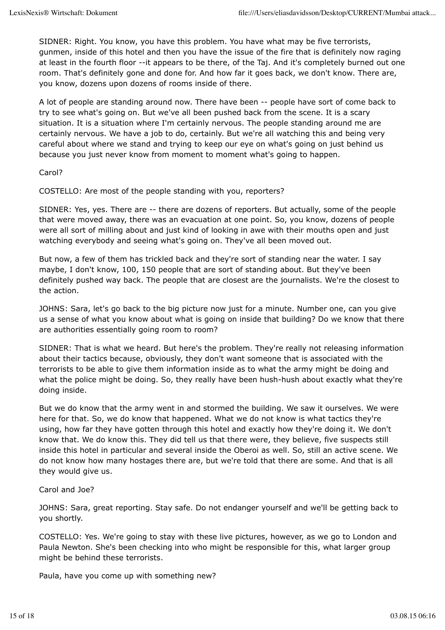SIDNER: Right. You know, you have this problem. You have what may be five terrorists, gunmen, inside of this hotel and then you have the issue of the fire that is definitely now raging at least in the fourth floor --it appears to be there, of the Taj. And it's completely burned out one room. That's definitely gone and done for. And how far it goes back, we don't know. There are, you know, dozens upon dozens of rooms inside of there.

A lot of people are standing around now. There have been -- people have sort of come back to try to see what's going on. But we've all been pushed back from the scene. It is a scary situation. It is a situation where I'm certainly nervous. The people standing around me are certainly nervous. We have a job to do, certainly. But we're all watching this and being very careful about where we stand and trying to keep our eye on what's going on just behind us because you just never know from moment to moment what's going to happen.

Carol?

COSTELLO: Are most of the people standing with you, reporters?

SIDNER: Yes, yes. There are -- there are dozens of reporters. But actually, some of the people that were moved away, there was an evacuation at one point. So, you know, dozens of people were all sort of milling about and just kind of looking in awe with their mouths open and just watching everybody and seeing what's going on. They've all been moved out.

But now, a few of them has trickled back and they're sort of standing near the water. I say maybe, I don't know, 100, 150 people that are sort of standing about. But they've been definitely pushed way back. The people that are closest are the journalists. We're the closest to the action.

JOHNS: Sara, let's go back to the big picture now just for a minute. Number one, can you give us a sense of what you know about what is going on inside that building? Do we know that there are authorities essentially going room to room?

SIDNER: That is what we heard. But here's the problem. They're really not releasing information about their tactics because, obviously, they don't want someone that is associated with the terrorists to be able to give them information inside as to what the army might be doing and what the police might be doing. So, they really have been hush-hush about exactly what they're doing inside.

But we do know that the army went in and stormed the building. We saw it ourselves. We were here for that. So, we do know that happened. What we do not know is what tactics they're using, how far they have gotten through this hotel and exactly how they're doing it. We don't know that. We do know this. They did tell us that there were, they believe, five suspects still inside this hotel in particular and several inside the Oberoi as well. So, still an active scene. We do not know how many hostages there are, but we're told that there are some. And that is all they would give us.

## Carol and Joe?

JOHNS: Sara, great reporting. Stay safe. Do not endanger yourself and we'll be getting back to you shortly.

COSTELLO: Yes. We're going to stay with these live pictures, however, as we go to London and Paula Newton. She's been checking into who might be responsible for this, what larger group might be behind these terrorists.

Paula, have you come up with something new?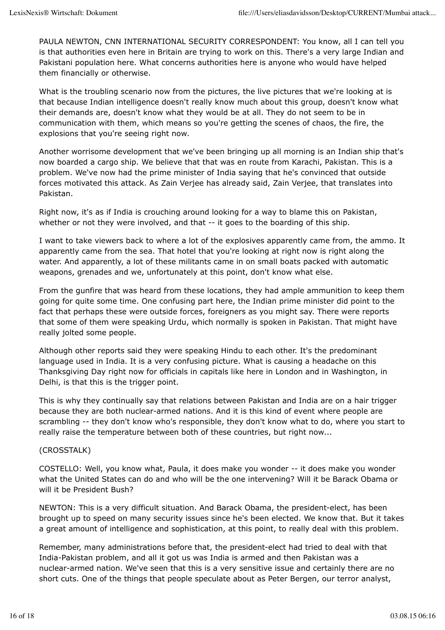PAULA NEWTON, CNN INTERNATIONAL SECURITY CORRESPONDENT: You know, all I can tell you is that authorities even here in Britain are trying to work on this. There's a very large Indian and Pakistani population here. What concerns authorities here is anyone who would have helped them financially or otherwise.

What is the troubling scenario now from the pictures, the live pictures that we're looking at is that because Indian intelligence doesn't really know much about this group, doesn't know what their demands are, doesn't know what they would be at all. They do not seem to be in communication with them, which means so you're getting the scenes of chaos, the fire, the explosions that you're seeing right now.

Another worrisome development that we've been bringing up all morning is an Indian ship that's now boarded a cargo ship. We believe that that was en route from Karachi, Pakistan. This is a problem. We've now had the prime minister of India saying that he's convinced that outside forces motivated this attack. As Zain Verjee has already said, Zain Verjee, that translates into Pakistan.

Right now, it's as if India is crouching around looking for a way to blame this on Pakistan, whether or not they were involved, and that -- it goes to the boarding of this ship.

I want to take viewers back to where a lot of the explosives apparently came from, the ammo. It apparently came from the sea. That hotel that you're looking at right now is right along the water. And apparently, a lot of these militants came in on small boats packed with automatic weapons, grenades and we, unfortunately at this point, don't know what else.

From the gunfire that was heard from these locations, they had ample ammunition to keep them going for quite some time. One confusing part here, the Indian prime minister did point to the fact that perhaps these were outside forces, foreigners as you might say. There were reports that some of them were speaking Urdu, which normally is spoken in Pakistan. That might have really jolted some people.

Although other reports said they were speaking Hindu to each other. It's the predominant language used in India. It is a very confusing picture. What is causing a headache on this Thanksgiving Day right now for officials in capitals like here in London and in Washington, in Delhi, is that this is the trigger point.

This is why they continually say that relations between Pakistan and India are on a hair trigger because they are both nuclear-armed nations. And it is this kind of event where people are scrambling -- they don't know who's responsible, they don't know what to do, where you start to really raise the temperature between both of these countries, but right now...

## (CROSSTALK)

COSTELLO: Well, you know what, Paula, it does make you wonder -- it does make you wonder what the United States can do and who will be the one intervening? Will it be Barack Obama or will it be President Bush?

NEWTON: This is a very difficult situation. And Barack Obama, the president-elect, has been brought up to speed on many security issues since he's been elected. We know that. But it takes a great amount of intelligence and sophistication, at this point, to really deal with this problem.

Remember, many administrations before that, the president-elect had tried to deal with that India-Pakistan problem, and all it got us was India is armed and then Pakistan was a nuclear-armed nation. We've seen that this is a very sensitive issue and certainly there are no short cuts. One of the things that people speculate about as Peter Bergen, our terror analyst,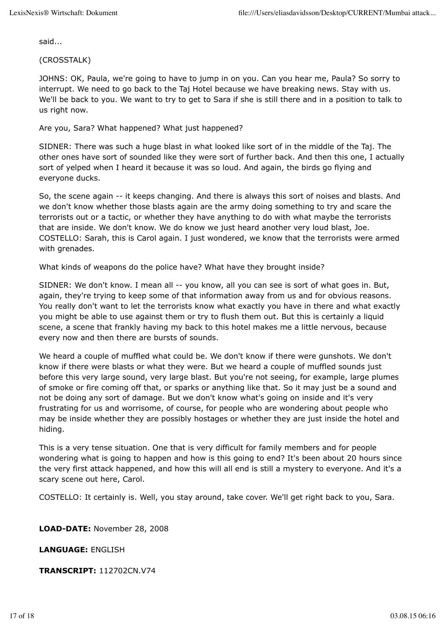said...

(CROSSTALK)

JOHNS: OK, Paula, we're going to have to jump in on you. Can you hear me, Paula? So sorry to interrupt. We need to go back to the Taj Hotel because we have breaking news. Stay with us. We'll be back to you. We want to try to get to Sara if she is still there and in a position to talk to us right now.

#### Are you, Sara? What happened? What just happened?

SIDNER: There was such a huge blast in what looked like sort of in the middle of the Taj. The other ones have sort of sounded like they were sort of further back. And then this one, I actually sort of yelped when I heard it because it was so loud. And again, the birds go flying and everyone ducks.

So, the scene again -- it keeps changing. And there is always this sort of noises and blasts. And we don't know whether those blasts again are the army doing something to try and scare the terrorists out or a tactic, or whether they have anything to do with what maybe the terrorists that are inside. We don't know. We do know we just heard another very loud blast, Joe. COSTELLO: Sarah, this is Carol again. I just wondered, we know that the terrorists were armed with grenades.

What kinds of weapons do the police have? What have they brought inside?

SIDNER: We don't know. I mean all -- you know, all you can see is sort of what goes in. But, again, they're trying to keep some of that information away from us and for obvious reasons. You really don't want to let the terrorists know what exactly you have in there and what exactly you might be able to use against them or try to flush them out. But this is certainly a liquid scene, a scene that frankly having my back to this hotel makes me a little nervous, because every now and then there are bursts of sounds.

We heard a couple of muffled what could be. We don't know if there were gunshots. We don't know if there were blasts or what they were. But we heard a couple of muffled sounds just before this very large sound, very large blast. But you're not seeing, for example, large plumes of smoke or fire coming off that, or sparks or anything like that. So it may just be a sound and not be doing any sort of damage. But we don't know what's going on inside and it's very frustrating for us and worrisome, of course, for people who are wondering about people who may be inside whether they are possibly hostages or whether they are just inside the hotel and hiding.

This is a very tense situation. One that is very difficult for family members and for people wondering what is going to happen and how is this going to end? It's been about 20 hours since the very first attack happened, and how this will all end is still a mystery to everyone. And it's a scary scene out here, Carol.

COSTELLO: It certainly is. Well, you stay around, take cover. We'll get right back to you, Sara.

**LOAD-DATE:** November 28, 2008

**LANGUAGE:** ENGLISH

**TRANSCRIPT:** 112702CN.V74